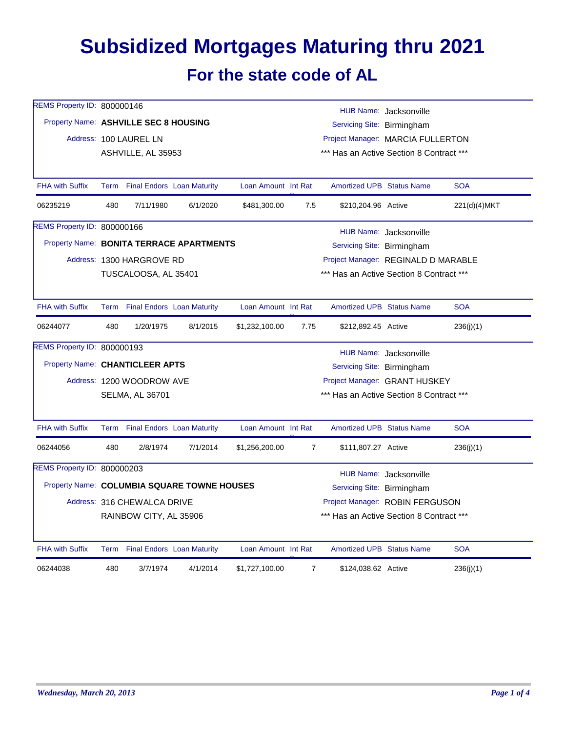## **Subsidized Mortgages Maturing thru 2021 For the state code of AL**

| REMS Property ID: 800000146           |                                                                        |                                 |                                             |                     |                                     |                                          | HUB Name: Jacksonville |              |  |  |
|---------------------------------------|------------------------------------------------------------------------|---------------------------------|---------------------------------------------|---------------------|-------------------------------------|------------------------------------------|------------------------|--------------|--|--|
| Property Name: ASHVILLE SEC 8 HOUSING |                                                                        |                                 |                                             |                     |                                     | Servicing Site: Birmingham               |                        |              |  |  |
|                                       |                                                                        | Address: 100 LAUREL LN          |                                             |                     | Project Manager: MARCIA FULLERTON   |                                          |                        |              |  |  |
|                                       |                                                                        | ASHVILLE, AL 35953              |                                             |                     |                                     | *** Has an Active Section 8 Contract *** |                        |              |  |  |
|                                       |                                                                        |                                 |                                             |                     |                                     |                                          |                        |              |  |  |
| <b>FHA with Suffix</b>                |                                                                        | Term Final Endors Loan Maturity |                                             | Loan Amount Int Rat |                                     | Amortized UPB Status Name                |                        | <b>SOA</b>   |  |  |
| 06235219                              | 480                                                                    | 7/11/1980                       | 6/1/2020                                    | \$481,300.00        | 7.5                                 | \$210,204.96 Active                      |                        | 221(d)(4)MKT |  |  |
| REMS Property ID: 800000166           |                                                                        |                                 |                                             |                     |                                     |                                          | HUB Name: Jacksonville |              |  |  |
|                                       | Property Name: BONITA TERRACE APARTMENTS<br>Servicing Site: Birmingham |                                 |                                             |                     |                                     |                                          |                        |              |  |  |
|                                       |                                                                        | Address: 1300 HARGROVE RD       |                                             |                     | Project Manager: REGINALD D MARABLE |                                          |                        |              |  |  |
|                                       |                                                                        | TUSCALOOSA, AL 35401            |                                             |                     |                                     | *** Has an Active Section 8 Contract *** |                        |              |  |  |
|                                       |                                                                        |                                 |                                             |                     |                                     |                                          |                        |              |  |  |
| <b>FHA with Suffix</b>                |                                                                        | Term Final Endors Loan Maturity |                                             | Loan Amount Int Rat |                                     | <b>Amortized UPB Status Name</b>         |                        | <b>SOA</b>   |  |  |
| 06244077                              | 480                                                                    | 1/20/1975                       | 8/1/2015                                    | \$1,232,100.00      | 7.75                                | \$212,892.45 Active                      |                        | 236(j)(1)    |  |  |
| <b>REMS Property ID: 800000193</b>    | HUB Name: Jacksonville                                                 |                                 |                                             |                     |                                     |                                          |                        |              |  |  |
|                                       | Property Name: CHANTICLEER APTS<br>Servicing Site: Birmingham          |                                 |                                             |                     |                                     |                                          |                        |              |  |  |
|                                       |                                                                        |                                 | Address: 1200 WOODROW AVE                   |                     |                                     | Project Manager: GRANT HUSKEY            |                        |              |  |  |
|                                       |                                                                        | <b>SELMA, AL 36701</b>          |                                             |                     |                                     | *** Has an Active Section 8 Contract *** |                        |              |  |  |
|                                       |                                                                        |                                 |                                             |                     |                                     |                                          |                        |              |  |  |
| <b>FHA with Suffix</b>                |                                                                        | Term Final Endors Loan Maturity |                                             | Loan Amount Int Rat |                                     | Amortized UPB Status Name                |                        | <b>SOA</b>   |  |  |
| 06244056                              | 480                                                                    | 2/8/1974                        | 7/1/2014                                    | \$1,256,200.00      | $\overline{7}$                      | \$111,807.27 Active                      |                        | 236(j)(1)    |  |  |
| REMS Property ID: 800000203           |                                                                        |                                 |                                             |                     |                                     |                                          | HUB Name: Jacksonville |              |  |  |
|                                       |                                                                        |                                 | Property Name: COLUMBIA SQUARE TOWNE HOUSES |                     |                                     | Servicing Site: Birmingham               |                        |              |  |  |
|                                       |                                                                        | Address: 316 CHEWALCA DRIVE     |                                             |                     | Project Manager: ROBIN FERGUSON     |                                          |                        |              |  |  |
|                                       |                                                                        | RAINBOW CITY, AL 35906          |                                             |                     |                                     | *** Has an Active Section 8 Contract *** |                        |              |  |  |
| <b>FHA with Suffix</b>                |                                                                        | Term Final Endors Loan Maturity |                                             | Loan Amount Int Rat |                                     | <b>Amortized UPB Status Name</b>         |                        | <b>SOA</b>   |  |  |
|                                       |                                                                        |                                 |                                             |                     |                                     |                                          |                        |              |  |  |
| 06244038                              | 480                                                                    | 3/7/1974                        | 4/1/2014                                    | \$1,727,100.00      | $\overline{7}$                      | \$124,038.62 Active                      |                        | 236(j)(1)    |  |  |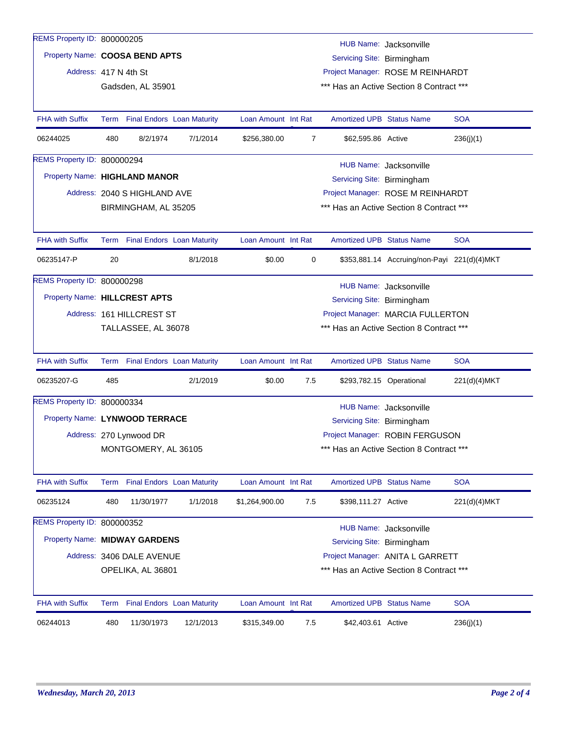| REMS Property ID: 800000205    |                                                                                                                            |                                   |           |                     |                            |                                                                               |                                             |              |  |  |
|--------------------------------|----------------------------------------------------------------------------------------------------------------------------|-----------------------------------|-----------|---------------------|----------------------------|-------------------------------------------------------------------------------|---------------------------------------------|--------------|--|--|
|                                |                                                                                                                            |                                   |           |                     |                            |                                                                               | HUB Name: Jacksonville                      |              |  |  |
|                                | Property Name: COOSA BEND APTS<br>Servicing Site: Birmingham<br>Project Manager: ROSE M REINHARDT<br>Address: 417 N 4th St |                                   |           |                     |                            |                                                                               |                                             |              |  |  |
|                                |                                                                                                                            | Gadsden, AL 35901                 |           |                     |                            | *** Has an Active Section 8 Contract ***                                      |                                             |              |  |  |
|                                |                                                                                                                            |                                   |           |                     |                            |                                                                               |                                             |              |  |  |
| <b>FHA with Suffix</b>         | Term                                                                                                                       | <b>Final Endors Loan Maturity</b> |           | Loan Amount Int Rat |                            | <b>Amortized UPB Status Name</b>                                              |                                             | <b>SOA</b>   |  |  |
| 06244025                       | 480                                                                                                                        | 8/2/1974                          | 7/1/2014  | \$256,380.00        | $\overline{7}$             | \$62,595.86 Active                                                            |                                             | 236(i)(1)    |  |  |
| REMS Property ID: 800000294    |                                                                                                                            |                                   |           |                     |                            |                                                                               | HUB Name: Jacksonville                      |              |  |  |
| Property Name: HIGHLAND MANOR  |                                                                                                                            |                                   |           |                     | Servicing Site: Birmingham |                                                                               |                                             |              |  |  |
|                                |                                                                                                                            | Address: 2040 S HIGHLAND AVE      |           |                     |                            | Project Manager: ROSE M REINHARDT<br>*** Has an Active Section 8 Contract *** |                                             |              |  |  |
|                                |                                                                                                                            | BIRMINGHAM, AL 35205              |           |                     |                            |                                                                               |                                             |              |  |  |
|                                |                                                                                                                            |                                   |           |                     |                            |                                                                               |                                             |              |  |  |
| <b>FHA with Suffix</b>         |                                                                                                                            | Term Final Endors Loan Maturity   |           | Loan Amount Int Rat |                            | Amortized UPB Status Name                                                     |                                             | <b>SOA</b>   |  |  |
| 06235147-P                     | 20                                                                                                                         |                                   | 8/1/2018  | \$0.00              | 0                          |                                                                               | \$353,881.14 Accruing/non-Payi 221(d)(4)MKT |              |  |  |
| REMS Property ID: 800000298    |                                                                                                                            |                                   |           |                     |                            |                                                                               | HUB Name: Jacksonville                      |              |  |  |
| Property Name: HILLCREST APTS  |                                                                                                                            |                                   |           |                     |                            | Servicing Site: Birmingham                                                    |                                             |              |  |  |
|                                |                                                                                                                            | Address: 161 HILLCREST ST         |           |                     |                            |                                                                               | Project Manager: MARCIA FULLERTON           |              |  |  |
|                                |                                                                                                                            | TALLASSEE, AL 36078               |           |                     |                            |                                                                               | *** Has an Active Section 8 Contract ***    |              |  |  |
|                                |                                                                                                                            |                                   |           |                     |                            |                                                                               |                                             |              |  |  |
| <b>FHA with Suffix</b>         |                                                                                                                            | Term Final Endors Loan Maturity   |           | Loan Amount Int Rat |                            | <b>Amortized UPB Status Name</b>                                              |                                             | <b>SOA</b>   |  |  |
| 06235207-G                     | 485                                                                                                                        |                                   | 2/1/2019  | \$0.00              | 7.5                        |                                                                               | \$293,782.15 Operational                    | 221(d)(4)MKT |  |  |
| REMS Property ID: 800000334    |                                                                                                                            |                                   |           |                     |                            |                                                                               | HUB Name: Jacksonville                      |              |  |  |
| Property Name: LYNWOOD TERRACE |                                                                                                                            |                                   |           |                     |                            | Servicing Site: Birmingham                                                    |                                             |              |  |  |
|                                |                                                                                                                            | Address: 270 Lynwood DR           |           |                     |                            |                                                                               | Project Manager: ROBIN FERGUSON             |              |  |  |
|                                |                                                                                                                            | MONTGOMERY, AL 36105              |           |                     |                            | *** Has an Active Section 8 Contract ***                                      |                                             |              |  |  |
|                                |                                                                                                                            |                                   |           |                     |                            |                                                                               |                                             |              |  |  |
| FHA with Suffix                | Term                                                                                                                       | <b>Final Endors Loan Maturity</b> |           | Loan Amount Int Rat |                            | Amortized UPB Status Name                                                     |                                             | <b>SOA</b>   |  |  |
| 06235124                       | 480                                                                                                                        | 11/30/1977                        | 1/1/2018  | \$1,264,900.00      | 7.5                        | \$398,111.27 Active                                                           |                                             | 221(d)(4)MKT |  |  |
| REMS Property ID: 800000352    |                                                                                                                            |                                   |           |                     |                            |                                                                               | HUB Name: Jacksonville                      |              |  |  |
| Property Name: MIDWAY GARDENS  |                                                                                                                            |                                   |           |                     |                            | Servicing Site: Birmingham                                                    |                                             |              |  |  |
|                                |                                                                                                                            | Address: 3406 DALE AVENUE         |           |                     |                            |                                                                               | Project Manager: ANITA L GARRETT            |              |  |  |
|                                |                                                                                                                            | OPELIKA, AL 36801                 |           |                     |                            |                                                                               | *** Has an Active Section 8 Contract ***    |              |  |  |
|                                |                                                                                                                            |                                   |           |                     |                            |                                                                               |                                             |              |  |  |
| <b>FHA with Suffix</b>         |                                                                                                                            | Term Final Endors Loan Maturity   |           | Loan Amount Int Rat |                            | Amortized UPB Status Name                                                     |                                             | <b>SOA</b>   |  |  |
| 06244013                       | 480                                                                                                                        | 11/30/1973                        | 12/1/2013 | \$315,349.00        | 7.5                        | \$42,403.61 Active                                                            |                                             | 236(j)(1)    |  |  |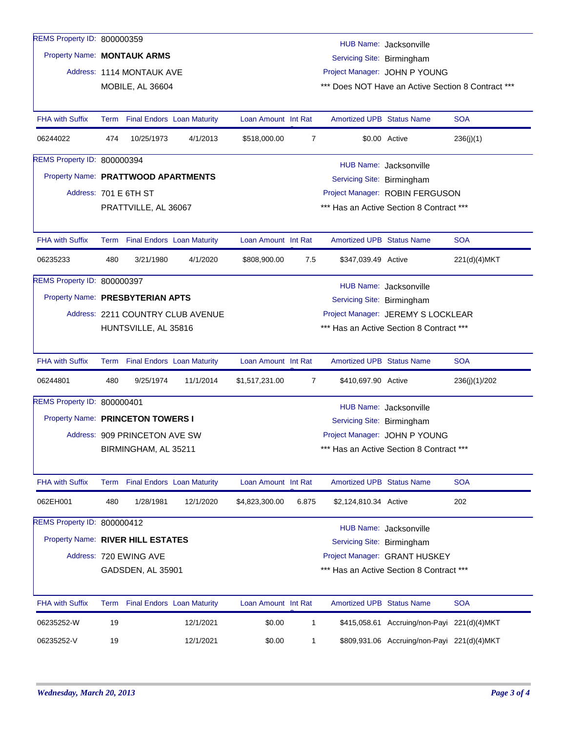| <b>REMS Property ID: 800000359</b> |                                                                                           |                                   |           |                     |                                          |                                  | HUB Name: Jacksonville                             |               |  |  |
|------------------------------------|-------------------------------------------------------------------------------------------|-----------------------------------|-----------|---------------------|------------------------------------------|----------------------------------|----------------------------------------------------|---------------|--|--|
|                                    | Property Name: MONTAUK ARMS<br>Servicing Site: Birmingham                                 |                                   |           |                     |                                          |                                  |                                                    |               |  |  |
|                                    |                                                                                           | Address: 1114 MONTAUK AVE         |           |                     | Project Manager: JOHN P YOUNG            |                                  |                                                    |               |  |  |
|                                    |                                                                                           | MOBILE, AL 36604                  |           |                     |                                          |                                  | *** Does NOT Have an Active Section 8 Contract *** |               |  |  |
|                                    |                                                                                           |                                   |           |                     |                                          |                                  |                                                    |               |  |  |
| <b>FHA with Suffix</b>             |                                                                                           | Term Final Endors Loan Maturity   |           | Loan Amount Int Rat |                                          | <b>Amortized UPB Status Name</b> |                                                    | <b>SOA</b>    |  |  |
| 06244022                           | 474                                                                                       | 10/25/1973                        | 4/1/2013  | \$518,000.00        | 7                                        |                                  | \$0.00 Active                                      | 236(j)(1)     |  |  |
| REMS Property ID: 800000394        | HUB Name: Jacksonville                                                                    |                                   |           |                     |                                          |                                  |                                                    |               |  |  |
|                                    | Property Name: PRATTWOOD APARTMENTS<br>Servicing Site: Birmingham                         |                                   |           |                     |                                          |                                  |                                                    |               |  |  |
|                                    |                                                                                           | Address: 701 E 6TH ST             |           |                     |                                          |                                  | Project Manager: ROBIN FERGUSON                    |               |  |  |
|                                    | *** Has an Active Section 8 Contract ***<br>PRATTVILLE, AL 36067                          |                                   |           |                     |                                          |                                  |                                                    |               |  |  |
|                                    |                                                                                           |                                   |           |                     |                                          |                                  |                                                    |               |  |  |
| <b>FHA with Suffix</b>             | Term                                                                                      | <b>Final Endors</b> Loan Maturity |           | Loan Amount Int Rat |                                          | <b>Amortized UPB Status Name</b> |                                                    | <b>SOA</b>    |  |  |
| 06235233                           | 480                                                                                       | 3/21/1980                         | 4/1/2020  | \$808,900.00        | 7.5                                      | \$347,039.49 Active              |                                                    | 221(d)(4)MKT  |  |  |
| REMS Property ID: 800000397        |                                                                                           |                                   |           |                     |                                          |                                  | HUB Name: Jacksonville                             |               |  |  |
| Property Name: PRESBYTERIAN APTS   |                                                                                           |                                   |           |                     |                                          | Servicing Site: Birmingham       |                                                    |               |  |  |
|                                    |                                                                                           | Address: 2211 COUNTRY CLUB AVENUE |           |                     | Project Manager: JEREMY S LOCKLEAR       |                                  |                                                    |               |  |  |
|                                    | *** Has an Active Section 8 Contract ***<br>HUNTSVILLE, AL 35816                          |                                   |           |                     |                                          |                                  |                                                    |               |  |  |
|                                    |                                                                                           |                                   |           |                     |                                          |                                  |                                                    |               |  |  |
| <b>FHA with Suffix</b>             |                                                                                           | Term Final Endors Loan Maturity   |           | Loan Amount Int Rat |                                          | <b>Amortized UPB Status Name</b> |                                                    | <b>SOA</b>    |  |  |
| 06244801                           | 480                                                                                       | 9/25/1974                         | 11/1/2014 | \$1,517,231.00      | $\overline{7}$                           | \$410,697.90 Active              |                                                    | 236(j)(1)/202 |  |  |
| REMS Property ID: 800000401        | HUB Name: Jacksonville                                                                    |                                   |           |                     |                                          |                                  |                                                    |               |  |  |
| Property Name: PRINCETON TOWERS I  |                                                                                           |                                   |           |                     |                                          | Servicing Site: Birmingham       |                                                    |               |  |  |
|                                    |                                                                                           | Address: 909 PRINCETON AVE SW     |           |                     | Project Manager: JOHN P YOUNG            |                                  |                                                    |               |  |  |
|                                    |                                                                                           | BIRMINGHAM, AL 35211              |           |                     | *** Has an Active Section 8 Contract *** |                                  |                                                    |               |  |  |
|                                    |                                                                                           |                                   |           |                     |                                          |                                  |                                                    |               |  |  |
| <b>FHA with Suffix</b>             |                                                                                           | Term Final Endors Loan Maturity   |           | Loan Amount Int Rat |                                          | Amortized UPB Status Name        |                                                    | <b>SOA</b>    |  |  |
| 062EH001                           | 480                                                                                       | 1/28/1981                         | 12/1/2020 | \$4,823,300.00      | 6.875                                    | \$2,124,810.34 Active            |                                                    | 202           |  |  |
| REMS Property ID: 800000412        |                                                                                           |                                   |           |                     |                                          |                                  |                                                    |               |  |  |
|                                    | HUB Name: Jacksonville<br>Property Name: RIVER HILL ESTATES<br>Servicing Site: Birmingham |                                   |           |                     |                                          |                                  |                                                    |               |  |  |
|                                    | Project Manager: GRANT HUSKEY<br>Address: 720 EWING AVE                                   |                                   |           |                     |                                          |                                  |                                                    |               |  |  |
|                                    | *** Has an Active Section 8 Contract ***<br>GADSDEN, AL 35901                             |                                   |           |                     |                                          |                                  |                                                    |               |  |  |
|                                    |                                                                                           |                                   |           |                     |                                          |                                  |                                                    |               |  |  |
| <b>FHA with Suffix</b>             |                                                                                           | Term Final Endors Loan Maturity   |           | Loan Amount Int Rat |                                          | <b>Amortized UPB Status Name</b> |                                                    | <b>SOA</b>    |  |  |
| 06235252-W                         | 19                                                                                        |                                   | 12/1/2021 | \$0.00              | 1                                        |                                  | \$415,058.61 Accruing/non-Payi 221(d)(4)MKT        |               |  |  |
| 06235252-V                         | 19                                                                                        |                                   | 12/1/2021 | \$0.00              | 1                                        |                                  | \$809,931.06 Accruing/non-Payi 221(d)(4)MKT        |               |  |  |
|                                    |                                                                                           |                                   |           |                     |                                          |                                  |                                                    |               |  |  |